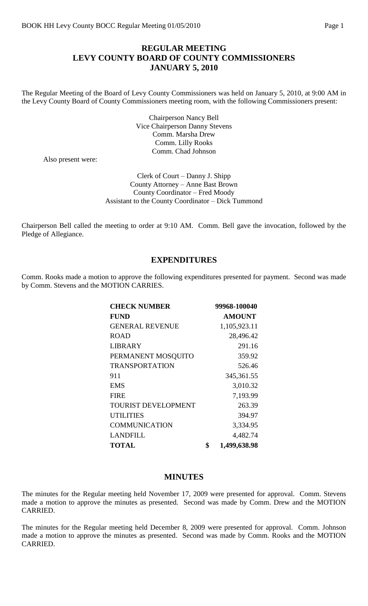## **REGULAR MEETING LEVY COUNTY BOARD OF COUNTY COMMISSIONERS JANUARY 5, 2010**

The Regular Meeting of the Board of Levy County Commissioners was held on January 5, 2010, at 9:00 AM in the Levy County Board of County Commissioners meeting room, with the following Commissioners present:

> Chairperson Nancy Bell Vice Chairperson Danny Stevens Comm. Marsha Drew Comm. Lilly Rooks Comm. Chad Johnson

Also present were:

Clerk of Court – Danny J. Shipp County Attorney – Anne Bast Brown County Coordinator – Fred Moody Assistant to the County Coordinator – Dick Tummond

Chairperson Bell called the meeting to order at 9:10 AM. Comm. Bell gave the invocation, followed by the Pledge of Allegiance.

### **EXPENDITURES**

Comm. Rooks made a motion to approve the following expenditures presented for payment. Second was made by Comm. Stevens and the MOTION CARRIES.

| <b>CHECK NUMBER</b>        | 99968-100040       |
|----------------------------|--------------------|
| <b>FUND</b>                | <b>AMOUNT</b>      |
| <b>GENERAL REVENUE</b>     | 1,105,923.11       |
| <b>ROAD</b>                | 28,496.42          |
| <b>LIBRARY</b>             | 291.16             |
| PERMANENT MOSQUITO         | 359.92             |
| <b>TRANSPORTATION</b>      | 526.46             |
| 911                        | 345, 361. 55       |
| <b>EMS</b>                 | 3,010.32           |
| <b>FIRE</b>                | 7,193.99           |
| <b>TOURIST DEVELOPMENT</b> | 263.39             |
| <b>UTILITIES</b>           | 394.97             |
| <b>COMMUNICATION</b>       | 3,334.95           |
| <b>LANDFILL</b>            | 4,482.74           |
| <b>TOTAL</b>               | \$<br>1,499,638.98 |

#### **MINUTES**

The minutes for the Regular meeting held November 17, 2009 were presented for approval. Comm. Stevens made a motion to approve the minutes as presented. Second was made by Comm. Drew and the MOTION CARRIED.

The minutes for the Regular meeting held December 8, 2009 were presented for approval. Comm. Johnson made a motion to approve the minutes as presented. Second was made by Comm. Rooks and the MOTION CARRIED.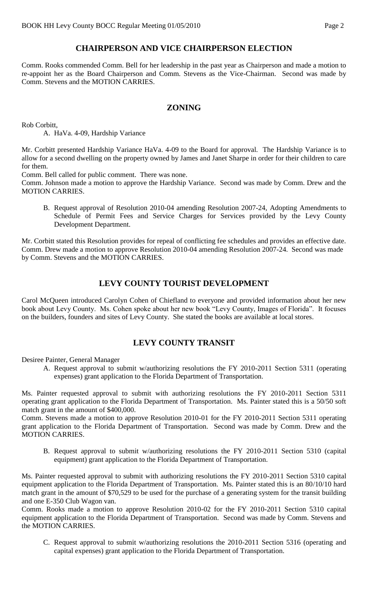# **CHAIRPERSON AND VICE CHAIRPERSON ELECTION**

Comm. Rooks commended Comm. Bell for her leadership in the past year as Chairperson and made a motion to re-appoint her as the Board Chairperson and Comm. Stevens as the Vice-Chairman. Second was made by Comm. Stevens and the MOTION CARRIES.

#### **ZONING**

Rob Corbitt,

A. HaVa. 4-09, Hardship Variance

Mr. Corbitt presented Hardship Variance HaVa. 4-09 to the Board for approval. The Hardship Variance is to allow for a second dwelling on the property owned by James and Janet Sharpe in order for their children to care for them.

Comm. Bell called for public comment. There was none.

Comm. Johnson made a motion to approve the Hardship Variance. Second was made by Comm. Drew and the MOTION CARRIES.

B. Request approval of Resolution 2010-04 amending Resolution 2007-24, Adopting Amendments to Schedule of Permit Fees and Service Charges for Services provided by the Levy County Development Department.

Mr. Corbitt stated this Resolution provides for repeal of conflicting fee schedules and provides an effective date. Comm. Drew made a motion to approve Resolution 2010-04 amending Resolution 2007-24. Second was made by Comm. Stevens and the MOTION CARRIES.

## **LEVY COUNTY TOURIST DEVELOPMENT**

Carol McQueen introduced Carolyn Cohen of Chiefland to everyone and provided information about her new book about Levy County. Ms. Cohen spoke about her new book "Levy County, Images of Florida". It focuses on the builders, founders and sites of Levy County. She stated the books are available at local stores.

# **LEVY COUNTY TRANSIT**

Desiree Painter, General Manager

A. Request approval to submit w/authorizing resolutions the FY 2010-2011 Section 5311 (operating expenses) grant application to the Florida Department of Transportation.

Ms. Painter requested approval to submit with authorizing resolutions the FY 2010-2011 Section 5311 operating grant application to the Florida Department of Transportation. Ms. Painter stated this is a 50/50 soft match grant in the amount of \$400,000.

Comm. Stevens made a motion to approve Resolution 2010-01 for the FY 2010-2011 Section 5311 operating grant application to the Florida Department of Transportation. Second was made by Comm. Drew and the MOTION CARRIES.

B. Request approval to submit w/authorizing resolutions the FY 2010-2011 Section 5310 (capital equipment) grant application to the Florida Department of Transportation.

Ms. Painter requested approval to submit with authorizing resolutions the FY 2010-2011 Section 5310 capital equipment application to the Florida Department of Transportation. Ms. Painter stated this is an 80/10/10 hard match grant in the amount of \$70,529 to be used for the purchase of a generating system for the transit building and one E-350 Club Wagon van.

Comm. Rooks made a motion to approve Resolution 2010-02 for the FY 2010-2011 Section 5310 capital equipment application to the Florida Department of Transportation. Second was made by Comm. Stevens and the MOTION CARRIES.

C. Request approval to submit w/authorizing resolutions the 2010-2011 Section 5316 (operating and capital expenses) grant application to the Florida Department of Transportation.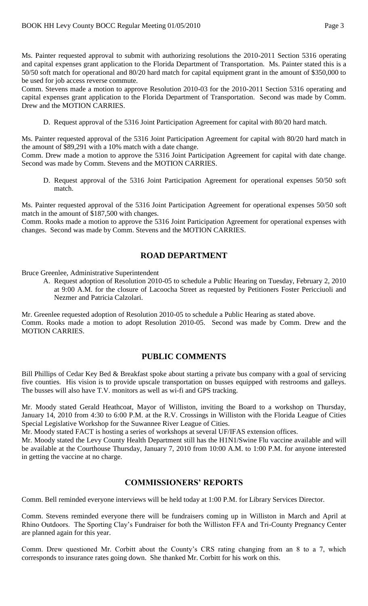Ms. Painter requested approval to submit with authorizing resolutions the 2010-2011 Section 5316 operating and capital expenses grant application to the Florida Department of Transportation. Ms. Painter stated this is a 50/50 soft match for operational and 80/20 hard match for capital equipment grant in the amount of \$350,000 to be used for job access reverse commute.

Comm. Stevens made a motion to approve Resolution 2010-03 for the 2010-2011 Section 5316 operating and capital expenses grant application to the Florida Department of Transportation. Second was made by Comm. Drew and the MOTION CARRIES.

D. Request approval of the 5316 Joint Participation Agreement for capital with 80/20 hard match.

Ms. Painter requested approval of the 5316 Joint Participation Agreement for capital with 80/20 hard match in the amount of \$89,291 with a 10% match with a date change.

Comm. Drew made a motion to approve the 5316 Joint Participation Agreement for capital with date change. Second was made by Comm. Stevens and the MOTION CARRIES.

D. Request approval of the 5316 Joint Participation Agreement for operational expenses 50/50 soft match.

Ms. Painter requested approval of the 5316 Joint Participation Agreement for operational expenses 50/50 soft match in the amount of \$187,500 with changes.

Comm. Rooks made a motion to approve the 5316 Joint Participation Agreement for operational expenses with changes. Second was made by Comm. Stevens and the MOTION CARRIES.

## **ROAD DEPARTMENT**

Bruce Greenlee, Administrative Superintendent

A. Request adoption of Resolution 2010-05 to schedule a Public Hearing on Tuesday, February 2, 2010 at 9:00 A.M. for the closure of Lacoocha Street as requested by Petitioners Foster Pericciuoli and Nezmer and Patricia Calzolari.

Mr. Greenlee requested adoption of Resolution 2010-05 to schedule a Public Hearing as stated above. Comm. Rooks made a motion to adopt Resolution 2010-05. Second was made by Comm. Drew and the MOTION CARRIES.

### **PUBLIC COMMENTS**

Bill Phillips of Cedar Key Bed & Breakfast spoke about starting a private bus company with a goal of servicing five counties. His vision is to provide upscale transportation on busses equipped with restrooms and galleys. The busses will also have T.V. monitors as well as wi-fi and GPS tracking.

Mr. Moody stated Gerald Heathcoat, Mayor of Williston, inviting the Board to a workshop on Thursday, January 14, 2010 from 4:30 to 6:00 P.M. at the R.V. Crossings in Williston with the Florida League of Cities Special Legislative Workshop for the Suwannee River League of Cities.

Mr. Moody stated FACT is hosting a series of workshops at several UF/IFAS extension offices.

Mr. Moody stated the Levy County Health Department still has the H1N1/Swine Flu vaccine available and will be available at the Courthouse Thursday, January 7, 2010 from 10:00 A.M. to 1:00 P.M. for anyone interested in getting the vaccine at no charge.

#### **COMMISSIONERS' REPORTS**

Comm. Bell reminded everyone interviews will be held today at 1:00 P.M. for Library Services Director.

Comm. Stevens reminded everyone there will be fundraisers coming up in Williston in March and April at Rhino Outdoors. The Sporting Clay's Fundraiser for both the Williston FFA and Tri-County Pregnancy Center are planned again for this year.

Comm. Drew questioned Mr. Corbitt about the County's CRS rating changing from an 8 to a 7, which corresponds to insurance rates going down. She thanked Mr. Corbitt for his work on this.